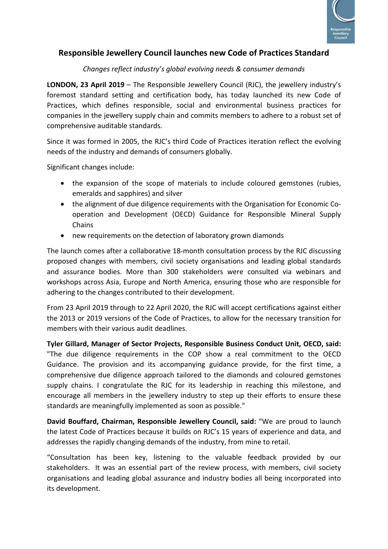

## **Responsible Jewellery Council launches new Code of Practices Standard**

## *Changes reflect industry's global evolving needs & consumer demands*

**LONDON, 23 April 2019** – The Responsible Jewellery Council (RJC), the jewellery industry's foremost standard setting and certification body, has today launched its new Code of Practices, which defines responsible, social and environmental business practices for companies in the jewellery supply chain and commits members to adhere to a robust set of comprehensive auditable standards.

Since it was formed in 2005, the RJC's third Code of Practices iteration reflect the evolving needs of the industry and demands of consumers globally.

Significant changes include:

- the expansion of the scope of materials to include coloured gemstones (rubies, emeralds and sapphires) and silver
- the alignment of due diligence requirements with the Organisation for Economic Cooperation and Development (OECD) Guidance for Responsible Mineral Supply Chains
- new requirements on the detection of laboratory grown diamonds

The launch comes after a collaborative 18-month consultation process by the RJC discussing proposed changes with members, civil society organisations and leading global standards and assurance bodies. More than 300 stakeholders were consulted via webinars and workshops across Asia, Europe and North America, ensuring those who are responsible for adhering to the changes contributed to their development.

From 23 April 2019 through to 22 April 2020, the RJC will accept certifications against either the 2013 or 2019 versions of the Code of Practices, to allow for the necessary transition for members with their various audit deadlines.

**Tyler Gillard, Manager of Sector Projects, Responsible Business Conduct Unit, OECD, said:** "The due diligence requirements in the COP show a real commitment to the OECD Guidance. The provision and its accompanying guidance provide, for the first time, a comprehensive due diligence approach tailored to the diamonds and coloured gemstones supply chains. I congratulate the RJC for its leadership in reaching this milestone, and encourage all members in the jewellery industry to step up their efforts to ensure these standards are meaningfully implemented as soon as possible."

**David Bouffard, Chairman, Responsible Jewellery Council, said:** "We are proud to launch the latest Code of Practices because it builds on RJC's 15 years of experience and data, and addresses the rapidly changing demands of the industry, from mine to retail.

"Consultation has been key, listening to the valuable feedback provided by our stakeholders. It was an essential part of the review process, with members, civil society organisations and leading global assurance and industry bodies all being incorporated into its development.